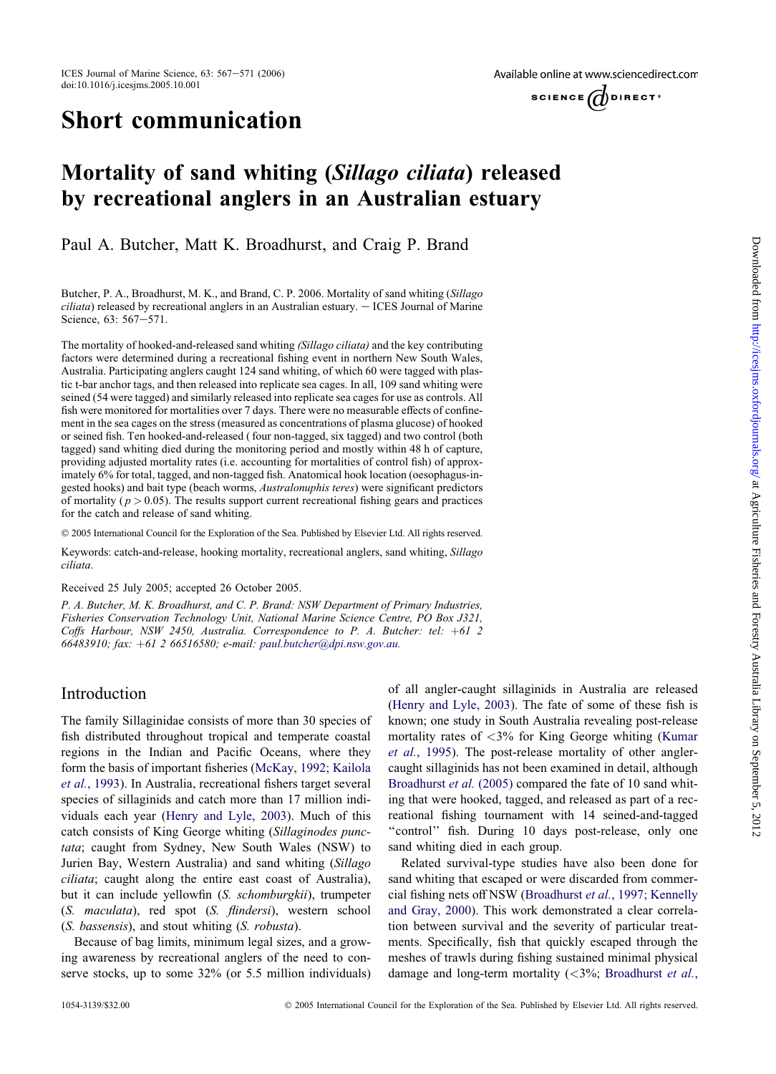# Short communication

Available online at www.sciencedirect.com



# Mortality of sand whiting (Sillago ciliata) released by recreational anglers in an Australian estuary

Paul A. Butcher, Matt K. Broadhurst, and Craig P. Brand

Butcher, P. A., Broadhurst, M. K., and Brand, C. P. 2006. Mortality of sand whiting (Sillago  $ciliata$ ) released by recreational anglers in an Australian estuary.  $-$  ICES Journal of Marine Science, 63: 567-571.

The mortality of hooked-and-released sand whiting (Sillago ciliata) and the key contributing factors were determined during a recreational fishing event in northern New South Wales, Australia. Participating anglers caught 124 sand whiting, of which 60 were tagged with plastic t-bar anchor tags, and then released into replicate sea cages. In all, 109 sand whiting were seined (54 were tagged) and similarly released into replicate sea cages for use as controls. All fish were monitored for mortalities over 7 days. There were no measurable effects of confinement in the sea cages on the stress (measured as concentrations of plasma glucose) of hooked or seined fish. Ten hooked-and-released (four non-tagged, six tagged) and two control (both tagged) sand whiting died during the monitoring period and mostly within 48 h of capture, providing adjusted mortality rates (i.e. accounting for mortalities of control fish) of approximately 6% for total, tagged, and non-tagged fish. Anatomical hook location (oesophagus-ingested hooks) and bait type (beach worms, Australonuphis teres) were significant predictors of mortality ( $p > 0.05$ ). The results support current recreational fishing gears and practices for the catch and release of sand whiting.

© 2005 International Council for the Exploration of the Sea. Published by Elsevier Ltd. All rights reserved.

Keywords: catch-and-release, hooking mortality, recreational anglers, sand whiting, Sillago ciliata.

Received 25 July 2005; accepted 26 October 2005.

P. A. Butcher, M. K. Broadhurst, and C. P. Brand: NSW Department of Primary Industries, Fisheries Conservation Technology Unit, National Marine Science Centre, PO Box J321, Coffs Harbour, NSW 2450, Australia. Correspondence to P. A. Butcher: tel:  $+61$  2 66483910; fax: +61 2 66516580; e-mail: [paul.butcher@dpi.nsw.gov.au.](mailto:paul.butcher@dpi.nsw.gov.au)

## Introduction

The family Sillaginidae consists of more than 30 species of fish distributed throughout tropical and temperate coastal regions in the Indian and Pacific Oceans, where they form the basis of important fisheries [\(McKay,](#page-4-0) 1992; Kailola et al., [1993](#page-4-0)). In Australia, recreational fishers target several species of sillaginids and catch more than 17 million individuals each year [\(Henry](#page-4-0) and Lyle, 2003). Much of this catch consists of King George whiting (Sillaginodes punctata; caught from Sydney, New South Wales (NSW) to Jurien Bay, Western Australia) and sand whiting (Sillago ciliata; caught along the entire east coast of Australia), but it can include yellowfin (S. schomburgkii), trumpeter (S. maculata), red spot (S. flindersi), western school (S. bassensis), and stout whiting (S. robusta).

Because of bag limits, minimum legal sizes, and a growing awareness by recreational anglers of the need to conserve stocks, up to some 32% (or 5.5 million individuals) of all angler-caught sillaginids in Australia are released ([Henry](#page-4-0) and Lyle, 2003). The fate of some of these fish is known; one study in South Australia revealing post-release mortality rates of <3% for King George whiting ([Kumar](#page-4-0) et al., [1995\)](#page-4-0). The post-release mortality of other anglercaught sillaginids has not been examined in detail, although [Broadhurst](#page-4-0) et al. (2005) compared the fate of 10 sand whiting that were hooked, tagged, and released as part of a recreational fishing tournament with 14 seined-and-tagged "control" fish. During 10 days post-release, only one sand whiting died in each group.

Related survival-type studies have also been done for sand whiting that escaped or were discarded from commercial fishing nets off NSW ([Broadhurst](#page-4-0) et al., 1997; Kennelly and [Gray,](#page-4-0) 2000). This work demonstrated a clear correlation between survival and the severity of particular treatments. Specifically, fish that quickly escaped through the meshes of trawls during fishing sustained minimal physical damage and long-term mortality  $( $3\%$ ; Broadhurst *et al.*,$  $( $3\%$ ; Broadhurst *et al.*,$  $( $3\%$ ; Broadhurst *et al.*,$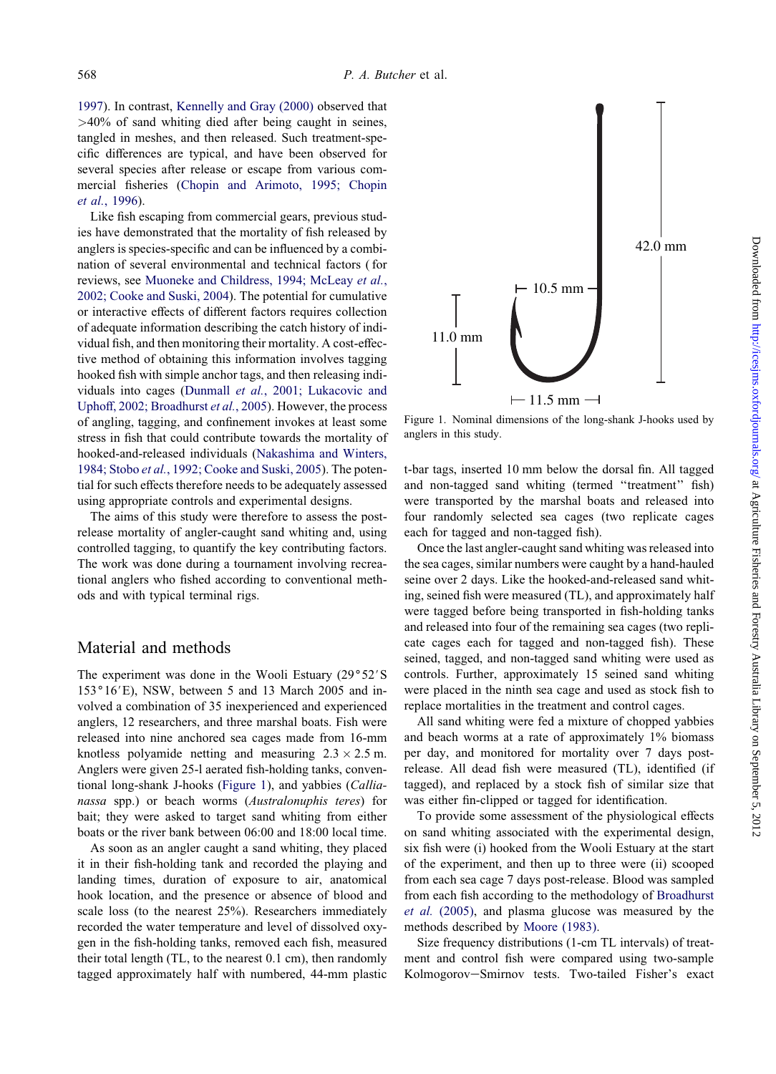[1997\)](#page-4-0). In contrast, [Kennelly](#page-4-0) and Gray (2000) observed that >40% of sand whiting died after being caught in seines, tangled in meshes, and then released. Such treatment-specific differences are typical, and have been observed for several species after release or escape from various commercial fisheries (Chopin and [Arimoto,](#page-4-0) 1995; Chopin et al., [1996\)](#page-4-0).

Like fish escaping from commercial gears, previous studies have demonstrated that the mortality of fish released by anglers is species-specific and can be influenced by a combination of several environmental and technical factors ( for reviews, see Muoneke and [Childress,](#page-4-0) 1994; McLeay et al., 2002; [Cooke](#page-4-0) and Suski, 2004). The potential for cumulative or interactive effects of different factors requires collection of adequate information describing the catch history of individual fish, and then monitoring their mortality. A cost-effective method of obtaining this information involves tagging hooked fish with simple anchor tags, and then releasing individuals into cages (Dunmall et al., 2001; [Lukacovic](#page-4-0) and Uphoff, 2002; [Broadhurst](#page-4-0) et al., 2005). However, the process of angling, tagging, and confinement invokes at least some stress in fish that could contribute towards the mortality of hooked-and-released individuals [\(Nakashima](#page-4-0) and Winters, 1984; Stobo et al., 1992; [Cooke](#page-4-0) and Suski, 2005). The potential for such effects therefore needs to be adequately assessed using appropriate controls and experimental designs.

The aims of this study were therefore to assess the postrelease mortality of angler-caught sand whiting and, using controlled tagging, to quantify the key contributing factors. The work was done during a tournament involving recreational anglers who fished according to conventional methods and with typical terminal rigs.

### Material and methods

The experiment was done in the Wooli Estuary  $(29°52'S)$  $153°16'E$ ), NSW, between 5 and 13 March 2005 and involved a combination of 35 inexperienced and experienced anglers, 12 researchers, and three marshal boats. Fish were released into nine anchored sea cages made from 16-mm knotless polyamide netting and measuring  $2.3 \times 2.5$  m. Anglers were given 25-l aerated fish-holding tanks, conventional long-shank J-hooks (Figure 1), and yabbies (Callianassa spp.) or beach worms (Australonuphis teres) for bait; they were asked to target sand whiting from either boats or the river bank between 06:00 and 18:00 local time.

As soon as an angler caught a sand whiting, they placed it in their fish-holding tank and recorded the playing and landing times, duration of exposure to air, anatomical hook location, and the presence or absence of blood and scale loss (to the nearest 25%). Researchers immediately recorded the water temperature and level of dissolved oxygen in the fish-holding tanks, removed each fish, measured their total length (TL, to the nearest 0.1 cm), then randomly tagged approximately half with numbered, 44-mm plastic



Figure 1. Nominal dimensions of the long-shank J-hooks used by anglers in this study.

t-bar tags, inserted 10 mm below the dorsal fin. All tagged and non-tagged sand whiting (termed ''treatment'' fish) were transported by the marshal boats and released into four randomly selected sea cages (two replicate cages each for tagged and non-tagged fish).

Once the last angler-caught sand whiting was released into the sea cages, similar numbers were caught by a hand-hauled seine over 2 days. Like the hooked-and-released sand whiting, seined fish were measured (TL), and approximately half were tagged before being transported in fish-holding tanks and released into four of the remaining sea cages (two replicate cages each for tagged and non-tagged fish). These seined, tagged, and non-tagged sand whiting were used as controls. Further, approximately 15 seined sand whiting were placed in the ninth sea cage and used as stock fish to replace mortalities in the treatment and control cages.

All sand whiting were fed a mixture of chopped yabbies and beach worms at a rate of approximately 1% biomass per day, and monitored for mortality over 7 days postrelease. All dead fish were measured (TL), identified (if tagged), and replaced by a stock fish of similar size that was either fin-clipped or tagged for identification.

To provide some assessment of the physiological effects on sand whiting associated with the experimental design, six fish were (i) hooked from the Wooli Estuary at the start of the experiment, and then up to three were (ii) scooped from each sea cage 7 days post-release. Blood was sampled from each fish according to the methodology of [Broadhurst](#page-4-0) et al. [\(2005\)](#page-4-0), and plasma glucose was measured by the methods described by [Moore](#page-4-0) (1983).

Size frequency distributions (1-cm TL intervals) of treatment and control fish were compared using two-sample Kolmogorov-Smirnov tests. Two-tailed Fisher's exact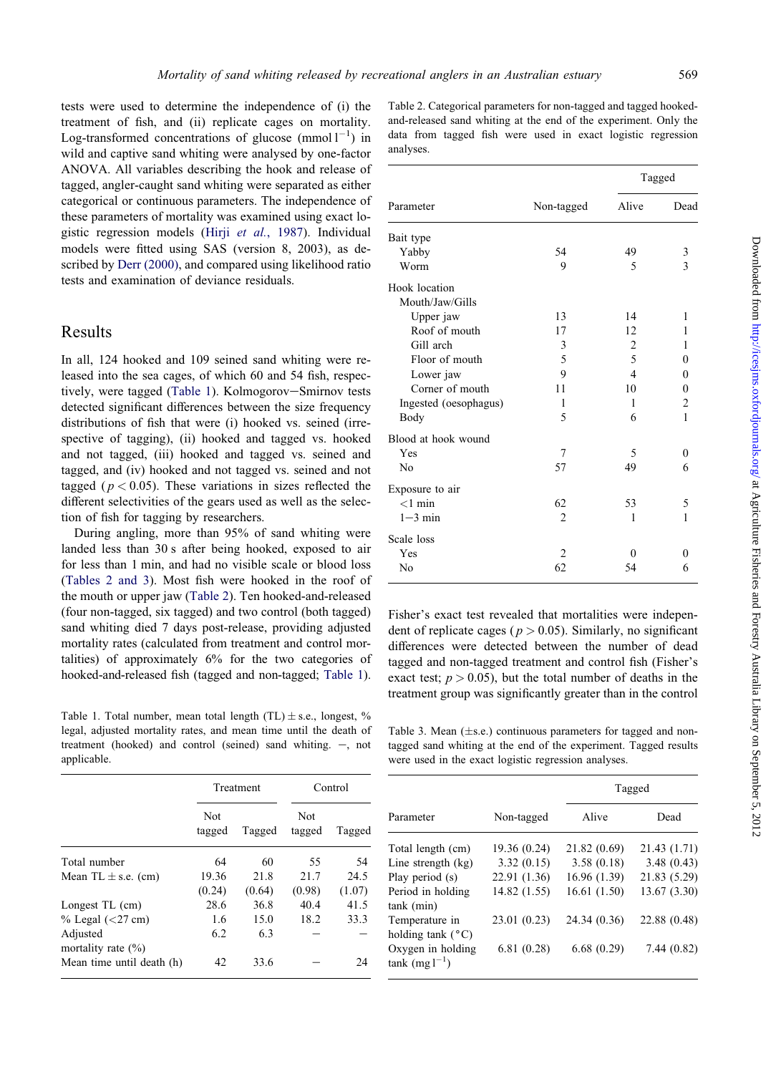<span id="page-2-0"></span>tests were used to determine the independence of (i) the treatment of fish, and (ii) replicate cages on mortality. Log-transformed concentrations of glucose  $\text{(mmol } 1^{-1})$  in wild and captive sand whiting were analysed by one-factor ANOVA. All variables describing the hook and release of tagged, angler-caught sand whiting were separated as either categorical or continuous parameters. The independence of these parameters of mortality was examined using exact lo-gistic regression models (Hirji et al., [1987\)](#page-4-0). Individual models were fitted using SAS (version 8, 2003), as described by Derr [\(2000\)](#page-4-0), and compared using likelihood ratio tests and examination of deviance residuals.

## Results

In all, 124 hooked and 109 seined sand whiting were released into the sea cages, of which 60 and 54 fish, respectively, were tagged (Table 1). Kolmogorov-Smirnov tests detected significant differences between the size frequency distributions of fish that were (i) hooked vs. seined (irrespective of tagging), (ii) hooked and tagged vs. hooked and not tagged, (iii) hooked and tagged vs. seined and tagged, and (iv) hooked and not tagged vs. seined and not tagged ( $p < 0.05$ ). These variations in sizes reflected the different selectivities of the gears used as well as the selection of fish for tagging by researchers.

During angling, more than 95% of sand whiting were landed less than 30 s after being hooked, exposed to air for less than 1 min, and had no visible scale or blood loss (Tables 2 and 3). Most fish were hooked in the roof of the mouth or upper jaw (Table 2). Ten hooked-and-released (four non-tagged, six tagged) and two control (both tagged) sand whiting died 7 days post-release, providing adjusted mortality rates (calculated from treatment and control mortalities) of approximately 6% for the two categories of hooked-and-released fish (tagged and non-tagged; Table 1).

Table 1. Total number, mean total length  $(TL) \pm$  s.e., longest, % legal, adjusted mortality rates, and mean time until the death of treatment (hooked) and control (seined) sand whiting.  $-$ , not applicable.

| Table 2. Categorical parameters for non-tagged and tagged hooked- |  |  |  |  |  |  |  |                                                              |
|-------------------------------------------------------------------|--|--|--|--|--|--|--|--------------------------------------------------------------|
| and-released sand whiting at the end of the experiment. Only the  |  |  |  |  |  |  |  |                                                              |
|                                                                   |  |  |  |  |  |  |  | data from tagged fish were used in exact logistic regression |
| analyses.                                                         |  |  |  |  |  |  |  |                                                              |

|                       |                | Tagged         |                |  |
|-----------------------|----------------|----------------|----------------|--|
| Parameter             | Non-tagged     | Alive          | Dead           |  |
| Bait type             |                |                |                |  |
| Yabby                 | 54             | 49             | 3              |  |
| Worm                  | 9              | 5              | 3              |  |
| Hook location         |                |                |                |  |
| Mouth/Jaw/Gills       |                |                |                |  |
| Upper jaw             | 13             | 14             | 1              |  |
| Roof of mouth         | 17             | 12             | 1              |  |
| Gill arch             | 3              | $\overline{2}$ | 1              |  |
| Floor of mouth        | 5              | 5              | 0              |  |
| Lower jaw             | 9              | $\overline{4}$ | 0              |  |
| Corner of mouth       | 11             | 10             | $\theta$       |  |
| Ingested (oesophagus) | 1              | 1              | $\overline{c}$ |  |
| Body                  | 5              | 6              | $\mathbf{1}$   |  |
| Blood at hook wound   |                |                |                |  |
| Yes                   | 7              | 5              | 0              |  |
| N <sub>0</sub>        | 57             | 49             | 6              |  |
| Exposure to air       |                |                |                |  |
| $<$ 1 min             | 62             | 53             | 5              |  |
| $1-3$ min             | $\overline{2}$ | 1              | 1              |  |
| Scale loss            |                |                |                |  |
| Yes                   | $\overline{2}$ | $\theta$       | 0              |  |
| No                    | 62             | 54             | 6              |  |
|                       |                |                |                |  |

Fisher's exact test revealed that mortalities were independent of replicate cages ( $p > 0.05$ ). Similarly, no significant differences were detected between the number of dead tagged and non-tagged treatment and control fish (Fisher's exact test;  $p > 0.05$ ), but the total number of deaths in the treatment group was significantly greater than in the control

Table 3. Mean  $(\pm s.e.)$  continuous parameters for tagged and nontagged sand whiting at the end of the experiment. Tagged results were used in the exact logistic regression analyses.

|                                    | Treatment            |        | Control              |        |
|------------------------------------|----------------------|--------|----------------------|--------|
|                                    | <b>Not</b><br>tagged | Tagged | <b>Not</b><br>tagged | Tagged |
| Total number                       | 64                   | 60     | 55                   | 54     |
| Mean TL $\pm$ s.e. (cm)            | 19.36                | 21.8   | 21.7                 | 24.5   |
|                                    | (0.24)               | (0.64) | (0.98)               | (1.07) |
| Longest TL (cm)                    | 28.6                 | 36.8   | 40.4                 | 41.5   |
| $%$ Legal $(27 \text{ cm})$        | 1.6                  | 15.0   | 18.2                 | 33.3   |
| Adjusted<br>mortality rate $(\% )$ | 6.2                  | 6.3    |                      |        |
| Mean time until death (h)          | 42                   | 33.6   |                      | 24     |

|                                              |              | Tagged       |              |  |
|----------------------------------------------|--------------|--------------|--------------|--|
| Parameter                                    | Non-tagged   | Alive        | Dead         |  |
| Total length (cm)                            | 19.36 (0.24) | 21.82 (0.69) | 21.43 (1.71) |  |
| Line strength $(kg)$                         | 3.32(0.15)   | 3.58(0.18)   | 3.48(0.43)   |  |
| Play period (s)                              | 22.91 (1.36) | 16.96 (1.39) | 21.83 (5.29) |  |
| Period in holding<br>tank (min)              | 14.82 (1.55) | 16.61(1.50)  | 13.67 (3.30) |  |
| Temperature in<br>holding tank $(^{\circ}C)$ | 23.01 (0.23) | 24.34 (0.36) | 22.88 (0.48) |  |
| Oxygen in holding<br>$tank$ (mg $1^{-1}$ )   | 6.81(0.28)   | 6.68(0.29)   | 7.44(0.82)   |  |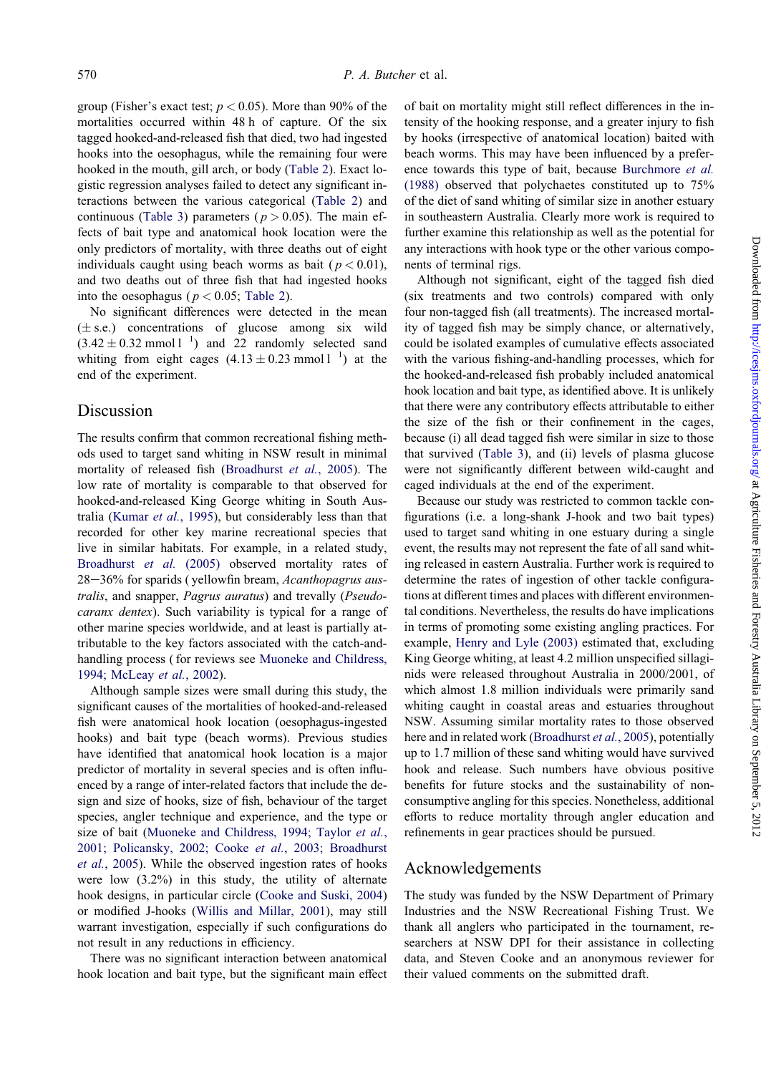group (Fisher's exact test;  $p < 0.05$ ). More than 90% of the mortalities occurred within 48 h of capture. Of the six tagged hooked-and-released fish that died, two had ingested hooks into the oesophagus, while the remaining four were hooked in the mouth, gill arch, or body ([Table](#page-2-0) 2). Exact logistic regression analyses failed to detect any significant interactions between the various categorical ([Table](#page-2-0) 2) and continuous [\(Table](#page-2-0) 3) parameters ( $p > 0.05$ ). The main effects of bait type and anatomical hook location were the only predictors of mortality, with three deaths out of eight individuals caught using beach worms as bait ( $p < 0.01$ ), and two deaths out of three fish that had ingested hooks into the oesophagus ( $p < 0.05$ ; [Table](#page-2-0) 2).

 $(3.42 \pm 0.32 \text{ mmol 1}^{-1})$  and 22 randomly selected sand whiting from eight cages  $(4.13 \pm 0.23 \text{ mmol l}^{-1})$  at the No significant differences were detected in the mean  $(\pm s.e.)$  concentrations of glucose among six wild end of the experiment.

### Discussion

The results confirm that common recreational fishing methods used to target sand whiting in NSW result in minimal mortality of released fish ([Broadhurst](#page-4-0) et al., 2005). The low rate of mortality is comparable to that observed for hooked-and-released King George whiting in South Aus-tralia [\(Kumar](#page-4-0) et al., 1995), but considerably less than that recorded for other key marine recreational species that live in similar habitats. For example, in a related study, [Broadhurst](#page-4-0) *et al.* (2005) observed mortality rates of 28–36% for sparids ( yellowfin bream, Acanthopagrus australis, and snapper, Pagrus auratus) and trevally (Pseudocaranx dentex). Such variability is typical for a range of other marine species worldwide, and at least is partially attributable to the key factors associated with the catch-andhandling process ( for reviews see Muoneke and [Childress,](#page-4-0) 1994; [McLeay](#page-4-0) et al., 2002).

Although sample sizes were small during this study, the significant causes of the mortalities of hooked-and-released fish were anatomical hook location (oesophagus-ingested hooks) and bait type (beach worms). Previous studies have identified that anatomical hook location is a major predictor of mortality in several species and is often influenced by a range of inter-related factors that include the design and size of hooks, size of fish, behaviour of the target species, angler technique and experience, and the type or size of bait (Muoneke and [Childress,](#page-4-0) 1994; Taylor et al., 2001; [Policansky,](#page-4-0) 2002; Cooke et al., 2003; Broadhurst et al., [2005](#page-4-0)). While the observed ingestion rates of hooks were low (3.2%) in this study, the utility of alternate hook designs, in particular circle [\(Cooke](#page-4-0) and Suski, 2004) or modified J-hooks (Willis and [Millar,](#page-4-0) 2001), may still warrant investigation, especially if such configurations do not result in any reductions in efficiency.

There was no significant interaction between anatomical hook location and bait type, but the significant main effect of bait on mortality might still reflect differences in the intensity of the hooking response, and a greater injury to fish by hooks (irrespective of anatomical location) baited with beach worms. This may have been influenced by a preference towards this type of bait, because [Burchmore](#page-4-0) et al. [\(1988\)](#page-4-0) observed that polychaetes constituted up to 75% of the diet of sand whiting of similar size in another estuary in southeastern Australia. Clearly more work is required to further examine this relationship as well as the potential for any interactions with hook type or the other various components of terminal rigs.

Although not significant, eight of the tagged fish died (six treatments and two controls) compared with only four non-tagged fish (all treatments). The increased mortality of tagged fish may be simply chance, or alternatively, could be isolated examples of cumulative effects associated with the various fishing-and-handling processes, which for the hooked-and-released fish probably included anatomical hook location and bait type, as identified above. It is unlikely that there were any contributory effects attributable to either the size of the fish or their confinement in the cages, because (i) all dead tagged fish were similar in size to those that survived [\(Table](#page-2-0) 3), and (ii) levels of plasma glucose were not significantly different between wild-caught and caged individuals at the end of the experiment.

Because our study was restricted to common tackle configurations (i.e. a long-shank J-hook and two bait types) used to target sand whiting in one estuary during a single event, the results may not represent the fate of all sand whiting released in eastern Australia. Further work is required to determine the rates of ingestion of other tackle configurations at different times and places with different environmental conditions. Nevertheless, the results do have implications in terms of promoting some existing angling practices. For example, Henry and Lyle [\(2003\)](#page-4-0) estimated that, excluding King George whiting, at least 4.2 million unspecified sillaginids were released throughout Australia in 2000/2001, of which almost 1.8 million individuals were primarily sand whiting caught in coastal areas and estuaries throughout NSW. Assuming similar mortality rates to those observed here and in related work ([Broadhurst](#page-4-0) et al., 2005), potentially up to 1.7 million of these sand whiting would have survived hook and release. Such numbers have obvious positive benefits for future stocks and the sustainability of nonconsumptive angling for this species. Nonetheless, additional efforts to reduce mortality through angler education and refinements in gear practices should be pursued.

## Acknowledgements

The study was funded by the NSW Department of Primary Industries and the NSW Recreational Fishing Trust. We thank all anglers who participated in the tournament, researchers at NSW DPI for their assistance in collecting data, and Steven Cooke and an anonymous reviewer for their valued comments on the submitted draft.